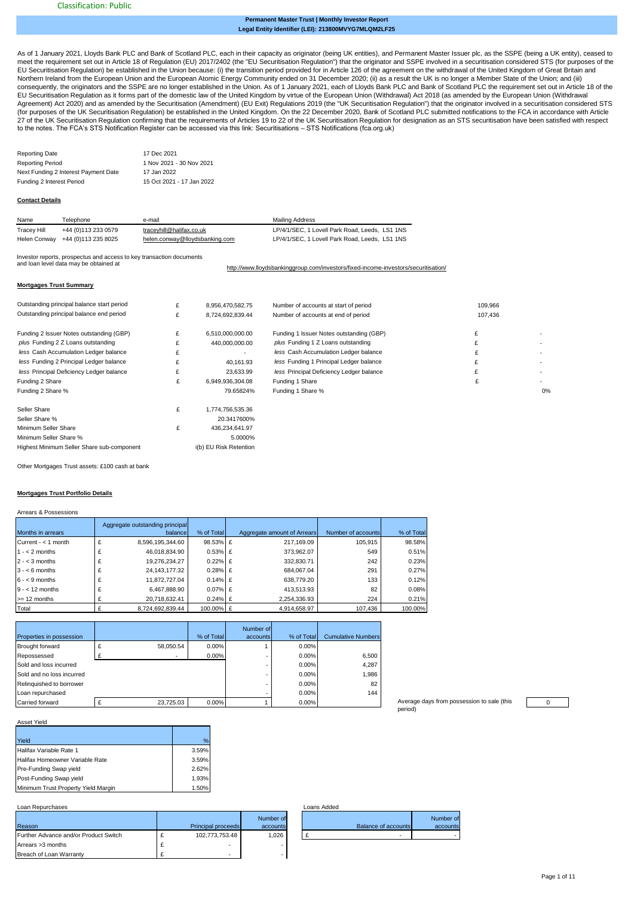#### **Legal Entity Identifier (LEI): 213800MVYG7MLQM2LF25 Permanent Master Trust | Monthly Investor Report**

[As](https://eur02.safelinks.protection.outlook.com/?url=https%3A%2F%2Fdata.fca.org.uk%2F%23%2Fsts%2Fstssecuritisations&data=04%7C01%7CHelen.Conway%40lloydsbanking.com%7C1314d6c6f02d47f0273408d8b7b61ad1%7C3ded2960214a46ff8cf4611f125e2398%7C0%7C0%7C637461340043671326%7CUnknown%7CTWFpbGZsb3d8eyJWIjoiMC4wLjAwMDAiLCJQIjoiV2luMzIiLCJBTiI6Ik1haWwiLCJXVCI6Mn0%3D%7C1000&sdata=gHvJlpfiWG1L6kfc5EI6cmnbqzG%2B%2Bdi3PY%2Bq1EqiiHQ%3D&reserved=0) of 1 January 2021, Lloyds Bank PLC and Bank of Scotland PLC, each in their capacity as originator (being UK entities), and Permanent Master Issuer plc, as the SSPE (being a UK entity), ceased to [me](https://eur02.safelinks.protection.outlook.com/?url=https%3A%2F%2Fdata.fca.org.uk%2F%23%2Fsts%2Fstssecuritisations&data=04%7C01%7CHelen.Conway%40lloydsbanking.com%7C1314d6c6f02d47f0273408d8b7b61ad1%7C3ded2960214a46ff8cf4611f125e2398%7C0%7C0%7C637461340043671326%7CUnknown%7CTWFpbGZsb3d8eyJWIjoiMC4wLjAwMDAiLCJQIjoiV2luMzIiLCJBTiI6Ik1haWwiLCJXVCI6Mn0%3D%7C1000&sdata=gHvJlpfiWG1L6kfc5EI6cmnbqzG%2B%2Bdi3PY%2Bq1EqiiHQ%3D&reserved=0)et the requirement set out in Article 18 of Regulation (EU) 2017/2402 (the "EU Securitisation Regulation") that the originator and SSPE involved in a securitisation considered STS (for purposes of the [EU](https://eur02.safelinks.protection.outlook.com/?url=https%3A%2F%2Fdata.fca.org.uk%2F%23%2Fsts%2Fstssecuritisations&data=04%7C01%7CHelen.Conway%40lloydsbanking.com%7C1314d6c6f02d47f0273408d8b7b61ad1%7C3ded2960214a46ff8cf4611f125e2398%7C0%7C0%7C637461340043671326%7CUnknown%7CTWFpbGZsb3d8eyJWIjoiMC4wLjAwMDAiLCJQIjoiV2luMzIiLCJBTiI6Ik1haWwiLCJXVCI6Mn0%3D%7C1000&sdata=gHvJlpfiWG1L6kfc5EI6cmnbqzG%2B%2Bdi3PY%2Bq1EqiiHQ%3D&reserved=0) Securitisation Regulation) be established in the Union because: (i) the transition period provided for in Article 126 of the agreement on the withdrawal of the United Kingdom of Great Britain and<br>[Nor](https://eur02.safelinks.protection.outlook.com/?url=https%3A%2F%2Fdata.fca.org.uk%2F%23%2Fsts%2Fstssecuritisations&data=04%7C01%7CHelen.Conway%40lloydsbanking.com%7C1314d6c6f02d47f0273408d8b7b61ad1%7C3ded2960214a46ff8cf4611f125e2398%7C0%7C0%7C637461340043671326%7CUnknown%7CTWFpbGZsb3d8eyJWIjoiMC4wLjAwMDAiLCJQIjoiV2luMzIiLCJBTiI6Ik1haWwiLCJXVCI6Mn0%3D%7C1000&sdata=gHvJlpfiWG1L6kfc5EI6cmnbqzG%2B%2Bdi3PY%2Bq1EqiiHQ%3D&reserved=0)thern Ireland from t [EU](https://eur02.safelinks.protection.outlook.com/?url=https%3A%2F%2Fdata.fca.org.uk%2F%23%2Fsts%2Fstssecuritisations&data=04%7C01%7CHelen.Conway%40lloydsbanking.com%7C1314d6c6f02d47f0273408d8b7b61ad1%7C3ded2960214a46ff8cf4611f125e2398%7C0%7C0%7C637461340043671326%7CUnknown%7CTWFpbGZsb3d8eyJWIjoiMC4wLjAwMDAiLCJQIjoiV2luMzIiLCJBTiI6Ik1haWwiLCJXVCI6Mn0%3D%7C1000&sdata=gHvJlpfiWG1L6kfc5EI6cmnbqzG%2B%2Bdi3PY%2Bq1EqiiHQ%3D&reserved=0) Securitisation Regulation as it forms part of the domestic law of the United Kingdom by virtue of the European Union (Withdrawal) Act 2018 (as amended by the European Union (Withdrawal [Agr](https://eur02.safelinks.protection.outlook.com/?url=https%3A%2F%2Fdata.fca.org.uk%2F%23%2Fsts%2Fstssecuritisations&data=04%7C01%7CHelen.Conway%40lloydsbanking.com%7C1314d6c6f02d47f0273408d8b7b61ad1%7C3ded2960214a46ff8cf4611f125e2398%7C0%7C0%7C637461340043671326%7CUnknown%7CTWFpbGZsb3d8eyJWIjoiMC4wLjAwMDAiLCJQIjoiV2luMzIiLCJBTiI6Ik1haWwiLCJXVCI6Mn0%3D%7C1000&sdata=gHvJlpfiWG1L6kfc5EI6cmnbqzG%2B%2Bdi3PY%2Bq1EqiiHQ%3D&reserved=0)eement) Act 2020) and as amended by the Securitisation (Amendment) (EU Exit) Regulations 2019 (the "UK Securitisation Regulation") that the originator involved in a securitisation considered STS<br>[\(for](https://eur02.safelinks.protection.outlook.com/?url=https%3A%2F%2Fdata.fca.org.uk%2F%23%2Fsts%2Fstssecuritisations&data=04%7C01%7CHelen.Conway%40lloydsbanking.com%7C1314d6c6f02d47f0273408d8b7b61ad1%7C3ded2960214a46ff8cf4611f125e2398%7C0%7C0%7C637461340043671326%7CUnknown%7CTWFpbGZsb3d8eyJWIjoiMC4wLjAwMDAiLCJQIjoiV2luMzIiLCJBTiI6Ik1haWwiLCJXVCI6Mn0%3D%7C1000&sdata=gHvJlpfiWG1L6kfc5EI6cmnbqzG%2B%2Bdi3PY%2Bq1EqiiHQ%3D&reserved=0) purposes of the UK [27](https://eur02.safelinks.protection.outlook.com/?url=https%3A%2F%2Fdata.fca.org.uk%2F%23%2Fsts%2Fstssecuritisations&data=04%7C01%7CHelen.Conway%40lloydsbanking.com%7C1314d6c6f02d47f0273408d8b7b61ad1%7C3ded2960214a46ff8cf4611f125e2398%7C0%7C0%7C637461340043671326%7CUnknown%7CTWFpbGZsb3d8eyJWIjoiMC4wLjAwMDAiLCJQIjoiV2luMzIiLCJBTiI6Ik1haWwiLCJXVCI6Mn0%3D%7C1000&sdata=gHvJlpfiWG1L6kfc5EI6cmnbqzG%2B%2Bdi3PY%2Bq1EqiiHQ%3D&reserved=0) of the UK Securitisation Regulation confirming that the requirements of Articles 19 to 22 of the UK Securitisation Regulation for designation as an STS securitisation have been satisfied with respect [to t](https://eur02.safelinks.protection.outlook.com/?url=https%3A%2F%2Fdata.fca.org.uk%2F%23%2Fsts%2Fstssecuritisations&data=04%7C01%7CHelen.Conway%40lloydsbanking.com%7C1314d6c6f02d47f0273408d8b7b61ad1%7C3ded2960214a46ff8cf4611f125e2398%7C0%7C0%7C637461340043671326%7CUnknown%7CTWFpbGZsb3d8eyJWIjoiMC4wLjAwMDAiLCJQIjoiV2luMzIiLCJBTiI6Ik1haWwiLCJXVCI6Mn0%3D%7C1000&sdata=gHvJlpfiWG1L6kfc5EI6cmnbqzG%2B%2Bdi3PY%2Bq1EqiiHQ%3D&reserved=0)he notes. The FCA's STS Notification Register can be accessed via this link: Securitisations – STS Notifications (fca.org.uk)

| <b>Reporting Date</b>                | 17 Dec 2021               |
|--------------------------------------|---------------------------|
| <b>Reporting Period</b>              | 1 Nov 2021 - 30 Nov 2021  |
| Next Funding 2 Interest Payment Date | 17 Jan 2022               |
| Funding 2 Interest Period            | 15 Oct 2021 - 17 Jan 2022 |

#### **Contact Details**

| Name        | Telephone                        | e-mail                         | Mailing Address                                |
|-------------|----------------------------------|--------------------------------|------------------------------------------------|
| Tracey Hill | +44 (0)113 233 0579              | traceyhill@halifax.co.uk       | LP/4/1/SEC, 1 Lovell Park Road, Leeds, LS1 1NS |
|             | Helen Conway +44 (0)113 235 8025 | helen.conway@llovdsbanking.com | LP/4/1/SEC, 1 Lovell Park Road, Leeds, LS1 1NS |

Investor reports, prospectus and access to key transaction documents and loan level data may be obtained at

[http://](http://www.lloydsbankinggroup.com/investors/fixed-income-investors/securitisation/)www.lloydsbankinggroup.com/investors/fixed-income-investors/securitisation/

#### **Mortgages Trust Summary**

| Outstanding principal balance start period | £ | 8,956,470,582.75         | Number of accounts at start of period    | 109,966 |                          |
|--------------------------------------------|---|--------------------------|------------------------------------------|---------|--------------------------|
| Outstanding principal balance end period   | £ | 8.724.692.839.44         | Number of accounts at end of period      | 107,436 |                          |
|                                            | £ |                          |                                          | £       |                          |
| Funding 2 Issuer Notes outstanding (GBP)   | £ | 6,510,000,000.00         | Funding 1 Issuer Notes outstanding (GBP) |         |                          |
| plus Funding 2 Z Loans outstanding         |   | 440,000,000.00           | plus Funding 1 Z Loans outstanding       |         |                          |
| less Cash Accumulation Ledger balance      | £ | $\overline{\phantom{a}}$ | less Cash Accumulation Ledger balance    |         |                          |
| less Funding 2 Principal Ledger balance    |   | 40.161.93                | less Funding 1 Principal Ledger balance  |         |                          |
| less Principal Deficiency Ledger balance   | £ | 23.633.99                | less Principal Deficiency Ledger balance |         | $\overline{\phantom{a}}$ |
| Funding 2 Share                            | £ | 6,949,936,304.08         | Funding 1 Share                          | £       |                          |
| Funding 2 Share %                          |   | 79.65824%                | Funding 1 Share %                        |         | 0%                       |
| Seller Share                               | £ | 1,774,756,535.36         |                                          |         |                          |
| Seller Share %                             |   | 20.3417600%              |                                          |         |                          |
| Minimum Seller Share                       | £ | 436,234,641.97           |                                          |         |                          |
| Minimum Seller Share %                     |   | 5.0000%                  |                                          |         |                          |
| Highest Minimum Seller Share sub-component |   | i(b) EU Risk Retention   |                                          |         |                          |

Other Mortgages Trust assets: £100 cash at bank

#### **Mortgages Trust Portfolio Details**

|                       | Aggregate outstanding principal |            |                             |                    |            |
|-----------------------|---------------------------------|------------|-----------------------------|--------------------|------------|
| Months in arrears     | balancel                        | % of Total | Aggregate amount of Arrears | Number of accounts | % of Total |
| Current - $<$ 1 month | 8,596,195,344.60                | 98.53% £   | 217.169.09                  | 105.915            | 98.58%     |
| $1 - 2$ months        | 46,018,834.90                   | $0.53\%$ £ | 373.962.07                  | 549                | 0.51%      |
| $2 - < 3$ months      | 19.276.234.27                   | $0.22\%$ £ | 332.830.71                  | 242                | 0.23%      |
| $3 - 6$ months        | 24.143.177.32                   | $0.28\%$ £ | 684.067.04                  | 291                | 0.27%      |
| $6 - 9$ months        | 11.872.727.04                   | $0.14\%$ £ | 638,779.20                  | 133                | 0.12%      |
| $9 - 12$ months       | 6.467.888.90                    | $0.07\%$ £ | 413.513.93                  | 82                 | 0.08%      |
| $>= 12$ months        | 20,718,632.41                   | $0.24\%$ £ | 2.254.336.93                | 224                | 0.21%      |
| Total                 | 8.724.692.839.44                | 100.00% £  | 4.914.658.97                | 107.436            | 100.00%    |

| Properties in possession  |           | % of Total | Number of<br>accounts | % of Total | <b>Cumulative Numbers</b> |
|---------------------------|-----------|------------|-----------------------|------------|---------------------------|
| Brought forward           | 58.050.54 | 0.00%      |                       | 0.00%      |                           |
| Repossessed               |           | 0.00%      |                       | 0.00%      | 6,500                     |
| Sold and loss incurred    |           |            |                       | 0.00%      | 4,287                     |
| Sold and no loss incurred |           |            |                       | 0.00%      | 1,986                     |
| Relinquished to borrower  |           |            |                       | 0.00%      | 82                        |
| Loan repurchased          |           |            |                       | 0.00%      | 144                       |
| Carried forward           | 23.725.03 | 0.00%      |                       | 0.00%      |                           |

| Average days from possession to sale (this |  |
|--------------------------------------------|--|
| period)                                    |  |



| Asset Yield |  |
|-------------|--|
|             |  |

| Yield                               | %     |
|-------------------------------------|-------|
| Halifax Variable Rate 1             | 3.59% |
| Halifax Homeowner Variable Rate     | 3.59% |
| Pre-Funding Swap yield              | 2.62% |
| Post-Funding Swap yield             | 1.93% |
| Minimum Trust Property Yield Margin | 1.50% |

#### Loan Repurchases

|                                       |                           | Number of |
|---------------------------------------|---------------------------|-----------|
| Reason                                | <b>Principal proceeds</b> | accounts  |
| Further Advance and/or Product Switch | 102,773,753.48            | 1,026     |
| Arrears > 3 months                    | ۰                         |           |
| Breach of Loan Warranty               | ۰                         |           |

| oans Added. |                     |           |
|-------------|---------------------|-----------|
|             |                     | Number of |
|             | Balance of accounts | accounts  |
| £           |                     |           |
|             |                     |           |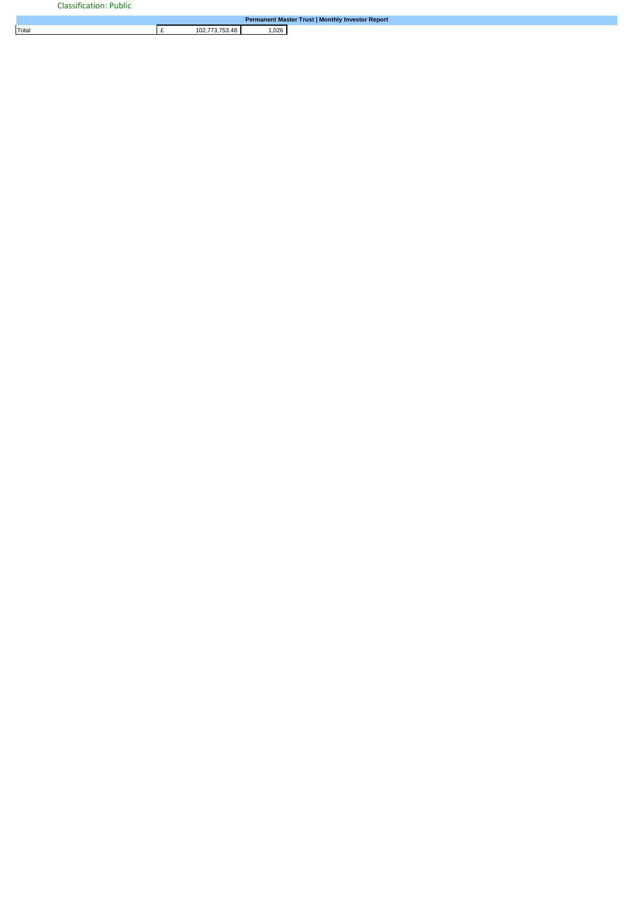|       |                |      | Permanent Master Trust   Monthly Investor Report |
|-------|----------------|------|--------------------------------------------------|
| Total | 102.773.753.48 | ,026 |                                                  |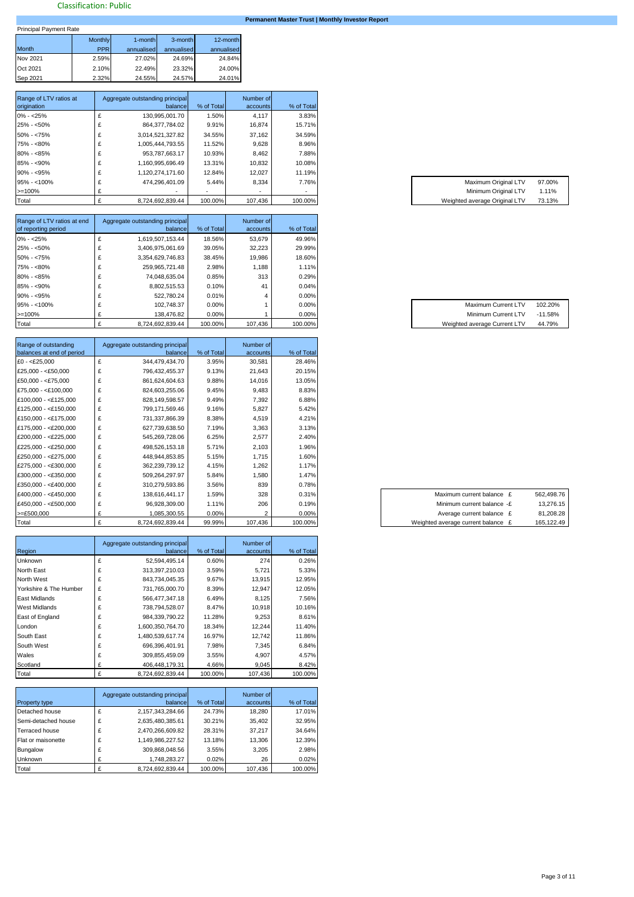# **Permanent Master Trust | Monthly Investor Report**

| <b>Principal Payment Rate</b> |                |            |            |            |  |  |  |  |  |  |
|-------------------------------|----------------|------------|------------|------------|--|--|--|--|--|--|
|                               | <b>Monthly</b> | 1-month    | 3-month    | 12-month   |  |  |  |  |  |  |
| <b>Month</b>                  | <b>PPR</b>     | annualised | annualised | annualised |  |  |  |  |  |  |
| Nov 2021                      | 2.59%          | 27.02%     | 24.69%     | 24.84%     |  |  |  |  |  |  |
| Oct 2021                      | 2.10%          | 22.49%     | 23.32%     | 24.00%     |  |  |  |  |  |  |
| Sep 2021                      | 2.32%          | 24.55%     | 24.57%     | 24.01%     |  |  |  |  |  |  |

| Range of LTV ratios at<br>origination | Aggregate outstanding principal<br>balancel | % of Total | Number of<br>accounts    | % of Total               |                               |        |
|---------------------------------------|---------------------------------------------|------------|--------------------------|--------------------------|-------------------------------|--------|
| $0\% - 25\%$                          | 130,995,001.70                              | 1.50%      | 4,117                    | 3.83%                    |                               |        |
| $25\% - 50\%$                         | 864.377.784.02                              | 9.91%      | 16.874                   | 15.71%                   |                               |        |
| $50\% - 75\%$                         | 3,014,521,327.82                            | 34.55%     | 37.162                   | 34.59%                   |                               |        |
| 75% - <80%                            | 1,005,444,793.55                            | 11.52%     | 9,628                    | 8.96%                    |                               |        |
| $80\% - 85\%$                         | 953.787.663.17                              | 10.93%     | 8.462                    | 7.88%                    |                               |        |
| $85\% - 90\%$                         | 1,160,995,696.49                            | 13.31%     | 10,832                   | 10.08%                   |                               |        |
| $90\% - $95\%$                        | 1,120,274,171.60                            | 12.84%     | 12,027                   | 11.19%                   |                               |        |
| $95\% - <100\%$                       | 474.296.401.09                              | 5.44%      | 8,334                    | 7.76%                    | Maximum Original LTV          | 97.00% |
| $>=100%$                              | $\overline{\phantom{a}}$                    |            | $\overline{\phantom{a}}$ | $\overline{\phantom{a}}$ | Minimum Original LTV          | 1.11%  |
| Total                                 | 8,724,692,839.44                            | 100.00%    | 107.436                  | 100.00%                  | Weighted average Original LTV | 73.13% |

| Range of LTV ratios at end | Aggregate outstanding principal | % of Total | Number of | % of Total |
|----------------------------|---------------------------------|------------|-----------|------------|
| of reporting period        | balancel                        |            | accounts  |            |
| $0\% - 25\%$               | 1,619,507,153.44                | 18.56%     | 53.679    | 49.96%     |
| $25\% - 50\%$              | 3.406.975.061.69                | 39.05%     | 32.223    | 29.99%     |
| $50\% - 55\%$              | 3,354,629,746.83                | 38.45%     | 19.986    | 18.60%     |
| 75% - <80%                 | 259.965.721.48                  | 2.98%      | 1.188     | 1.11%      |
| $80\% - 85\%$              | 74,048,635.04                   | 0.85%      | 313       | 0.29%      |
| $85\% - 90\%$              | 8.802.515.53                    | 0.10%      | 41        | 0.04%      |
| $90\% - 95\%$              | 522.780.24                      | 0.01%      |           | 0.00%      |
| $95\% - 100\%$             | 102.748.37                      | $0.00\%$   |           | 0.00%      |
| $>=100%$                   | 138.476.82                      | $0.00\%$   |           | 0.00%      |
| Total                      | 8.724.692.839.44                | 100.00%    | 107.436   | 100.00%    |

| Range of outstanding      |   | Aggregate outstanding principal |            | Number of |            |
|---------------------------|---|---------------------------------|------------|-----------|------------|
| balances at end of period |   | balance                         | % of Total | accounts  | % of Total |
| $£0 - < £25,000$          | £ | 344,479,434.70                  | 3.95%      | 30,581    | 28.46%     |
| £25,000 - < $£50,000$     |   | 796,432,455.37                  | 9.13%      | 21,643    | 20.15%     |
| $£50,000 - < £75,000$     |   | 861,624,604.63                  | 9.88%      | 14,016    | 13.05%     |
| $£75,000 - < £100,000$    |   | 824,603,255.06                  | 9.45%      | 9,483     | 8.83%      |
| £100,000 - <£125,000      | £ | 828,149,598.57                  | 9.49%      | 7,392     | 6.88%      |
| £125,000 - <£150,000      | £ | 799,171,569.46                  | 9.16%      | 5,827     | 5.42%      |
| £150,000 - <£175,000      | £ | 731,337,866.39                  | 8.38%      | 4,519     | 4.21%      |
| £175,000 - <£200,000      | £ | 627,739,638.50                  | 7.19%      | 3,363     | 3.13%      |
| £200,000 - <£225,000      | £ | 545,269,728.06                  | 6.25%      | 2,577     | 2.40%      |
| £225,000 - <£250,000      | £ | 498,526,153.18                  | 5.71%      | 2,103     | 1.96%      |
| £250,000 - <£275,000      | £ | 448,944,853.85                  | 5.15%      | 1,715     | 1.60%      |
| £275,000 - <£300,000      |   | 362,239,739.12                  | 4.15%      | 1,262     | 1.17%      |
| $£300,000 - < £350,000$   | £ | 509,264,297.97                  | 5.84%      | 1,580     | 1.47%      |
| £350,000 - <£400,000      | £ | 310,279,593.86                  | 3.56%      | 839       | 0.78%      |
| £400,000 - <£450,000      | £ | 138,616,441.17                  | 1.59%      | 328       | 0.31%      |
| £450,000 - <£500,000      | £ | 96,928,309.00                   | 1.11%      | 206       | 0.19%      |
| $>=E500,000$              |   | 1,085,300.55                    | 0.00%      |           | 0.00%      |
| Total                     | £ | 8,724,692,839.44                | 99.99%     | 107,436   | 100.00%    |

| Region                 |   | Aggregate outstanding principal<br>balancel | % of Total | Number of<br>accounts | % of Total |
|------------------------|---|---------------------------------------------|------------|-----------------------|------------|
| <b>Unknown</b>         | £ | 52,594,495.14                               | 0.60%      | 274                   | 0.26%      |
| North East             | £ | 313,397,210.03                              | 3.59%      | 5,721                 | 5.33%      |
| North West             | £ | 843,734,045.35                              | 9.67%      | 13,915                | 12.95%     |
| Yorkshire & The Humber | £ | 731,765,000.70                              | 8.39%      | 12,947                | 12.05%     |
| East Midlands          | £ | 566.477.347.18                              | 6.49%      | 8.125                 | 7.56%      |
| West Midlands          | £ | 738.794.528.07                              | 8.47%      | 10,918                | 10.16%     |
| East of England        | £ | 984,339,790.22                              | 11.28%     | 9,253                 | 8.61%      |
| London                 | £ | 1,600,350,764.70                            | 18.34%     | 12,244                | 11.40%     |
| South East             | £ | 1,480,539,617.74                            | 16.97%     | 12,742                | 11.86%     |
| South West             | £ | 696,396,401.91                              | 7.98%      | 7,345                 | 6.84%      |
| Wales                  | £ | 309,855,459.09                              | 3.55%      | 4,907                 | 4.57%      |
| Scotland               | £ | 406.448.179.31                              | 4.66%      | 9,045                 | 8.42%      |
| Total                  | £ | 8,724,692,839.44                            | 100.00%    | 107,436               | 100.00%    |

|                     |   | Aggregate outstanding principal |            | Number of |            |
|---------------------|---|---------------------------------|------------|-----------|------------|
| Property type       |   | balancel                        | % of Total | accounts  | % of Total |
| Detached house      | £ | 2,157,343,284.66                | 24.73%     | 18.280    | 17.01%     |
| Semi-detached house | £ | 2,635,480,385.61                | 30.21%     | 35,402    | 32.95%     |
| Terraced house      | £ | 2,470,266,609.82                | 28.31%     | 37,217    | 34.64%     |
| Flat or maisonette  | £ | 1,149,986,227.52                | 13.18%     | 13.306    | 12.39%     |
| Bungalow            | £ | 309,868,048.56                  | 3.55%      | 3.205     | 2.98%      |
| Unknown             |   | 1.748.283.27                    | 0.02%      | 26        | 0.02%      |
| Total               |   | 8.724.692.839.44                | 100.00%    | 107,436   | 100.00%    |

| Maximum Original LTV           | 97.00% |
|--------------------------------|--------|
| Minimum Original LTV           | 1.11%  |
| Weighted average Original I TV | 73 13% |

| Maximum Current LTV          | 102.20%   |
|------------------------------|-----------|
| Minimum Current LTV          | $-11.58%$ |
| Weighted average Current LTV | 44.79%    |

| Maximum current balance £          | 562,498.76 |
|------------------------------------|------------|
| Minimum current balance -£         | 13,276.15  |
| Average current balance £          | 81.208.28  |
| Weighted average current balance £ | 165.122.49 |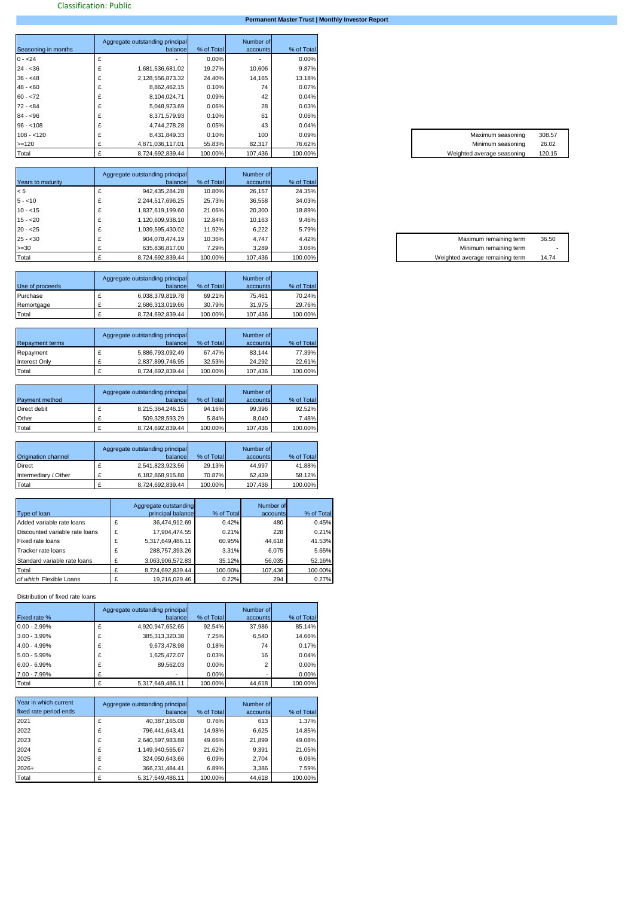# **Permanent Master Trust | Monthly Investor Report**

|                     | Aggregate outstanding principal |            | Number of |            |
|---------------------|---------------------------------|------------|-----------|------------|
| Seasoning in months | balance                         | % of Total | accounts  | % of Total |
| $0 - 24$            |                                 | 0.00%      |           | 0.00%      |
| $24 - 36$           | 1,681,536,681.02                | 19.27%     | 10,606    | 9.87%      |
| $36 - 48$           | 2,128,556,873.32                | 24.40%     | 14,165    | 13.18%     |
| $48 - 60$           | 8,862,462.15                    | 0.10%      | 74        | 0.07%      |
| $60 - 72$           | 8,104,024.71                    | 0.09%      | 42        | 0.04%      |
| $72 - 84$           | 5,048,973.69                    | $0.06\%$   | 28        | 0.03%      |
| $84 - 96$           | 8,371,579.93                    | 0.10%      | 61        | 0.06%      |
| $96 - 108$          | 4,744,278.28                    | 0.05%      | 43        | 0.04%      |
| $108 - 120$         | 8,431,849.33                    | 0.10%      | 100       | 0.09%      |
| $>=120$             | 4.871.036.117.01                | 55.83%     | 82,317    | 76.62%     |
| Total               | 8,724,692,839.44                | 100.00%    | 107,436   | 100.00%    |

| Years to maturity | Aggregate outstanding principal<br>balancel | % of Total | Number of<br>accounts | % of Total |
|-------------------|---------------------------------------------|------------|-----------------------|------------|
| < 5               | 942,435,284.28                              | 10.80%     | 26.157                | 24.35%     |
| $5 - 10$          | 2,244,517,696.25                            | 25.73%     | 36,558                | 34.03%     |
| $10 - 15$         | 1,837,619,199.60                            | 21.06%     | 20,300                | 18.89%     |
| $15 - 20$         | 1,120,609,938.10                            | 12.84%     | 10.163                | 9.46%      |
| $20 - 25$         | 1,039,595,430.02                            | 11.92%     | 6,222                 | 5.79%      |
| $25 - 30$         | 904,078,474.19                              | 10.36%     | 4,747                 | 4.42%      |
| $>=30$            | 635.836.817.00                              | 7.29%      | 3,289                 | 3.06%      |
| Total             | 8,724,692,839.44                            | 100.00%    | 107,436               | 100.00%    |

|                 | Aggregate outstanding principal |            | Number of |            |
|-----------------|---------------------------------|------------|-----------|------------|
| Use of proceeds | balancel                        | % of Total | accounts  | % of Total |
| Purchase        | 6,038,379,819.78                | 69.21%     | 75.461    | 70.24%     |
| Remortgage      | 2.686.313.019.66                | 30.79%     | 31.975    | 29.76%     |
| Total           | 8.724.692.839.44                | 100.00%    | 107.436   | 100.00%    |

| <b>Repayment terms</b> | Aggregate outstanding principal<br>balancel |                  | % of Total | Number of<br>accounts | % of Total |
|------------------------|---------------------------------------------|------------------|------------|-----------------------|------------|
|                        |                                             |                  |            |                       |            |
| Repayment              |                                             | 5,886,793,092.49 | 67.47%     | 83.144                | 77.39%     |
| <b>Interest Only</b>   |                                             | 2,837,899,746.95 | 32.53%     | 24.292                | 22.61%     |
| Total                  |                                             | 8.724.692.839.44 | 100.00%    | 107.436               | 100.00%    |

| <b>Payment method</b> | Aggregate outstanding principal<br>balancel | % of Total | Number of<br>accounts | % of Total |
|-----------------------|---------------------------------------------|------------|-----------------------|------------|
| Direct debit          | 8,215,364,246.15                            | 94.16%     | 99.396                | 92.52%     |
| Other                 | 509.328.593.29                              | 5.84%      | 8.040                 | 7.48%      |
| Total                 | 8,724,692,839.44                            | 100.00%    | 107,436               | 100.00%    |

| Origination channel  | Aggregate outstanding principal<br>balancel | % of Total | Number of<br>accounts | % of Total |
|----------------------|---------------------------------------------|------------|-----------------------|------------|
| <b>Direct</b>        | 2,541,823,923.56                            | 29.13%     | 44.997                | 41.88%     |
| Intermediary / Other | 6.182.868.915.88                            | 70.87%     | 62.439                | 58.12%     |
| Total                | 8.724.692.839.44                            | 100.00%    | 107.436               | 100.00%    |

| Type of loan                   |   | Aggregate outstanding<br>principal balance | % of Total | Number of<br>accounts | % of Total |
|--------------------------------|---|--------------------------------------------|------------|-----------------------|------------|
| Added variable rate loans      | £ | 36.474.912.69                              | 0.42%      | 480                   | 0.45%      |
| Discounted variable rate loans | £ | 17.904.474.55                              | 0.21%      | 228                   | 0.21%      |
| Fixed rate loans               | £ | 5.317.649.486.11                           | 60.95%     | 44.618                | 41.53%     |
| Tracker rate loans             | £ | 288.757.393.26                             | 3.31%      | 6.075                 | 5.65%      |
| Standard variable rate loans   | £ | 3,063,906,572.83                           | 35.12%     | 56,035                | 52.16%     |
| Total                          |   | 8.724.692.839.44                           | 100.00%    | 107.436               | 100.00%    |
| of which Flexible Loans        |   | 19,216,029.46                              | 0.22%      | 294                   | 0.27%      |

Distribution of fixed rate loans

| Fixed rate %    |   | Aggregate outstanding principal<br>balance | % of Total | Number of<br>accounts | % of Total |
|-----------------|---|--------------------------------------------|------------|-----------------------|------------|
| $0.00 - 2.99\%$ |   | 4,920,947,652.65                           | 92.54%     | 37,986                | 85.14%     |
| $3.00 - 3.99\%$ |   | 385,313,320.38                             | 7.25%      | 6,540                 | 14.66%     |
| 4.00 - 4.99%    | £ | 9,673,478.98                               | 0.18%      | 74                    | 0.17%      |
| $5.00 - 5.99\%$ | £ | 1,625,472.07                               | 0.03%      | 16                    | 0.04%      |
| $6.00 - 6.99%$  | £ | 89.562.03                                  | 0.00%      | ≘                     | 0.00%      |
| 7.00 - 7.99%    |   |                                            | 0.00%      |                       | 0.00%      |
| Total           |   | 5,317,649,486.11                           | 100.00%    | 44,618                | 100.00%    |

| Year in which current  |   | Aggregate outstanding principal |            | Number of |            |
|------------------------|---|---------------------------------|------------|-----------|------------|
| fixed rate period ends |   | balancel                        | % of Total | accounts  | % of Total |
| 2021                   | £ | 40,387,165.08                   | 0.76%      | 613       | 1.37%      |
| 2022                   | £ | 796,441,643.41                  | 14.98%     | 6,625     | 14.85%     |
| 2023                   | £ | 2,640,597,983.88                | 49.66%     | 21,899    | 49.08%     |
| 2024                   | £ | 1,149,940,565.67                | 21.62%     | 9,391     | 21.05%     |
| 2025                   | £ | 324,050,643.66                  | 6.09%      | 2,704     | 6.06%      |
| $2026+$                | £ | 366,231,484.41                  | 6.89%      | 3,386     | 7.59%      |
| Total                  |   | 5,317,649,486.11                | 100.00%    | 44,618    | 100.00%    |

| 308.57 | Maximum seasoning          | 0.09%   |
|--------|----------------------------|---------|
| 26.02  | Minimum seasoning          | 76.62%  |
| 120.15 | Weighted average seasoning | 100.00% |

| Maximum remaining term          | 36.50 |
|---------------------------------|-------|
| Minimum remaining term          | ۰     |
| Weighted average remaining term | 14.74 |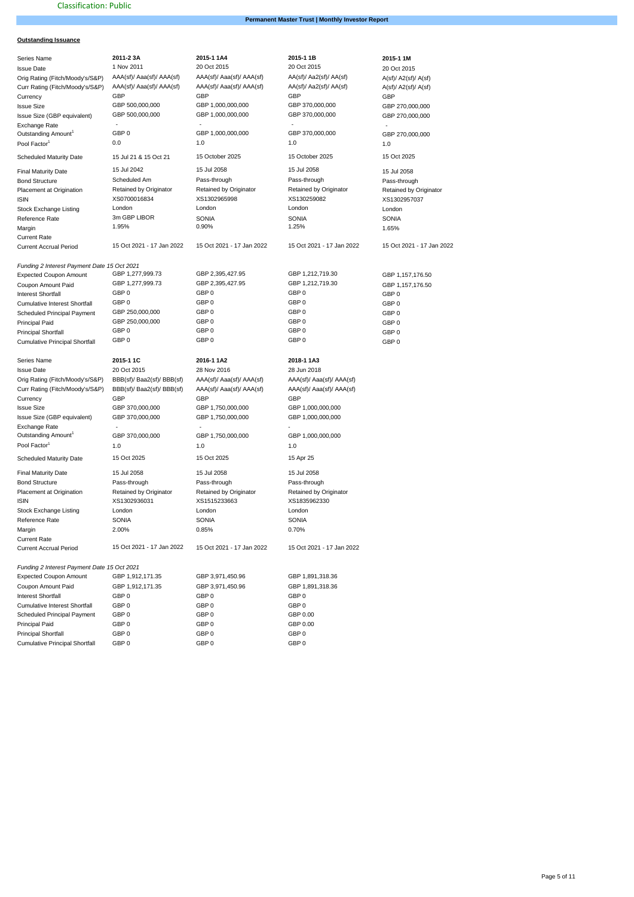# **Permanent Master Trust | Monthly Investor Report**

# **Outstanding Issuance**

| <b>Series Name</b>                          | 2011-23A                   | 2015-1 1A4                | 2015-11B                  | 2015-1 1M                 |
|---------------------------------------------|----------------------------|---------------------------|---------------------------|---------------------------|
| <b>Issue Date</b>                           | 1 Nov 2011                 | 20 Oct 2015               | 20 Oct 2015               | 20 Oct 2015               |
|                                             | AAA(sf)/ Aaa(sf)/ AAA(sf)  | AAA(sf)/ Aaa(sf)/ AAA(sf) | AA(sf)/ Aa2(sf)/ AA(sf)   |                           |
| Orig Rating (Fitch/Moody's/S&P)             |                            |                           |                           | A(sf)/A2(sf)/A(sf)        |
| Curr Rating (Fitch/Moody's/S&P)             | AAA(sf)/ Aaa(sf)/ AAA(sf)  | AAA(sf)/ Aaa(sf)/ AAA(sf) | AA(sf)/ Aa2(sf)/ AA(sf)   | A(st)/A2(st)/A(st)        |
| Currency                                    | GBP                        | GBP                       | GBP                       | GBP                       |
| <b>Issue Size</b>                           | GBP 500,000,000            | GBP 1,000,000,000         | GBP 370,000,000           | GBP 270,000,000           |
| Issue Size (GBP equivalent)                 | GBP 500,000,000            | GBP 1,000,000,000         | GBP 370,000,000           | GBP 270,000,000           |
| Exchange Rate                               |                            |                           |                           |                           |
| Outstanding Amount <sup>1</sup>             | GBP 0                      | GBP 1,000,000,000         | GBP 370,000,000           | GBP 270,000,000           |
| Pool Factor <sup>1</sup>                    | 0.0                        | 1.0                       | 1.0                       | 1.0                       |
| <b>Scheduled Maturity Date</b>              | 15 Jul 21 & 15 Oct 21      | 15 October 2025           | 15 October 2025           | 15 Oct 2025               |
|                                             |                            |                           |                           |                           |
| <b>Final Maturity Date</b>                  | 15 Jul 2042                | 15 Jul 2058               | 15 Jul 2058               | 15 Jul 2058               |
| <b>Bond Structure</b>                       | Scheduled Am               | Pass-through              | Pass-through              | Pass-through              |
| Placement at Origination                    | Retained by Originator     | Retained by Originator    | Retained by Originator    | Retained by Originator    |
| <b>ISIN</b>                                 | XS0700016834               | XS1302965998              | XS130259082               | XS1302957037              |
| <b>Stock Exchange Listing</b>               | London                     | London                    | London                    | London                    |
| Reference Rate                              | 3m GBP LIBOR               | <b>SONIA</b>              | <b>SONIA</b>              | SONIA                     |
| Margin                                      | 1.95%                      | 0.90%                     | 1.25%                     | 1.65%                     |
| <b>Current Rate</b>                         |                            |                           |                           |                           |
| <b>Current Accrual Period</b>               | 15 Oct 2021 - 17 Jan 2022  | 15 Oct 2021 - 17 Jan 2022 | 15 Oct 2021 - 17 Jan 2022 | 15 Oct 2021 - 17 Jan 2022 |
|                                             |                            |                           |                           |                           |
| Funding 2 Interest Payment Date 15 Oct 2021 |                            |                           |                           |                           |
| <b>Expected Coupon Amount</b>               | GBP 1,277,999.73           | GBP 2,395,427.95          | GBP 1,212,719.30          | GBP 1,157,176.50          |
|                                             | GBP 1,277,999.73           | GBP 2,395,427.95          | GBP 1,212,719.30          |                           |
| Coupon Amount Paid                          | GBP 0                      | GBP 0                     | GBP 0                     | GBP 1,157,176.50          |
| <b>Interest Shortfall</b>                   |                            |                           |                           | GBP <sub>0</sub>          |
| Cumulative Interest Shortfall               | GBP 0                      | GBP 0                     | GBP <sub>0</sub>          | GBP <sub>0</sub>          |
| Scheduled Principal Payment                 | GBP 250,000,000            | GBP 0                     | GBP <sub>0</sub>          | GBP <sub>0</sub>          |
| Principal Paid                              | GBP 250,000,000            | GBP 0                     | GBP <sub>0</sub>          | GBP <sub>0</sub>          |
| <b>Principal Shortfall</b>                  | GBP 0                      | GBP <sub>0</sub>          | GBP <sub>0</sub>          | GBP <sub>0</sub>          |
| <b>Cumulative Principal Shortfall</b>       | GBP 0                      | GBP <sub>0</sub>          | GBP <sub>0</sub>          | GBP <sub>0</sub>          |
|                                             |                            |                           |                           |                           |
| Series Name                                 | 2015-1 1C                  | 2016-1 1A2                | 2018-1 1A3                |                           |
| <b>Issue Date</b>                           | 20 Oct 2015                | 28 Nov 2016               | 28 Jun 2018               |                           |
| Orig Rating (Fitch/Moody's/S&P)             | BBB(sf)/ Baa2(sf)/ BBB(sf) | AAA(sf)/ Aaa(sf)/ AAA(sf) | AAA(sf)/ Aaa(sf)/ AAA(sf) |                           |
| Curr Rating (Fitch/Moody's/S&P)             | BBB(sf)/ Baa2(sf)/ BBB(sf) | AAA(sf)/ Aaa(sf)/ AAA(sf) | AAA(sf)/ Aaa(sf)/ AAA(sf) |                           |
| Currency                                    | <b>GBP</b>                 | <b>GBP</b>                | GBP                       |                           |
| <b>Issue Size</b>                           | GBP 370,000,000            | GBP 1,750,000,000         | GBP 1,000,000,000         |                           |
| Issue Size (GBP equivalent)                 | GBP 370,000,000            | GBP 1,750,000,000         | GBP 1,000,000,000         |                           |
| Exchange Rate                               |                            |                           |                           |                           |
| Outstanding Amount <sup>1</sup>             | GBP 370,000,000            | GBP 1,750,000,000         | GBP 1,000,000,000         |                           |
| Pool Factor <sup>1</sup>                    |                            |                           |                           |                           |
|                                             | 1.0                        | 1.0                       | 1.0                       |                           |
| <b>Scheduled Maturity Date</b>              | 15 Oct 2025                | 15 Oct 2025               | 15 Apr 25                 |                           |
| <b>Final Maturity Date</b>                  | 15 Jul 2058                | 15 Jul 2058               | 15 Jul 2058               |                           |
| <b>Bond Structure</b>                       | Pass-through               | Pass-through              | Pass-through              |                           |
| Placement at Origination                    | Retained by Originator     | Retained by Originator    | Retained by Originator    |                           |
| <b>ISIN</b>                                 | XS1302936031               | XS1515233663              | XS1835962330              |                           |
| <b>Stock Exchange Listing</b>               | London                     | London                    | London                    |                           |
| Reference Rate                              | SONIA                      | <b>SONIA</b>              | SONIA                     |                           |
|                                             | 2.00%                      | 0.85%                     | 0.70%                     |                           |
| Margin                                      |                            |                           |                           |                           |
| <b>Current Rate</b>                         | 15 Oct 2021 - 17 Jan 2022  |                           |                           |                           |
| <b>Current Accrual Period</b>               |                            | 15 Oct 2021 - 17 Jan 2022 | 15 Oct 2021 - 17 Jan 2022 |                           |
| Funding 2 Interest Payment Date 15 Oct 2021 |                            |                           |                           |                           |
|                                             |                            |                           |                           |                           |
| <b>Expected Coupon Amount</b>               | GBP 1,912,171.35           | GBP 3,971,450.96          | GBP 1,891,318.36          |                           |
| Coupon Amount Paid                          | GBP 1,912,171.35           | GBP 3,971,450.96          | GBP 1,891,318.36          |                           |
| <b>Interest Shortfall</b>                   | GBP 0                      | GBP 0                     | GBP 0                     |                           |
| Cumulative Interest Shortfall               | GBP 0                      | GBP 0                     | GBP <sub>0</sub>          |                           |
| Scheduled Principal Payment                 | GBP 0                      | GBP 0                     | GBP 0.00                  |                           |
| Principal Paid                              | GBP 0                      | GBP 0                     | GBP 0.00                  |                           |
| <b>Principal Shortfall</b>                  | GBP 0                      | GBP 0                     | GBP 0                     |                           |
| <b>Cumulative Principal Shortfall</b>       | GBP 0                      | GBP 0                     | GBP <sub>0</sub>          |                           |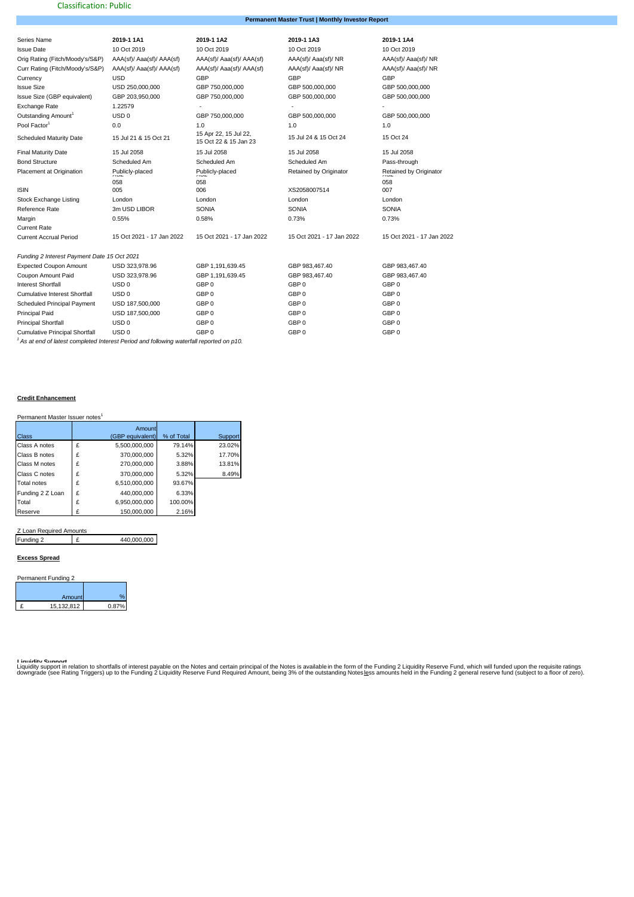# **Permanent Master Trust | Monthly Investor Report**

| Series Name                                 | 2019-1 1A1                | 2019-1 1A2                                     | 2019-1 1A3                | 2019-1 1A4                    |
|---------------------------------------------|---------------------------|------------------------------------------------|---------------------------|-------------------------------|
| <b>Issue Date</b>                           | 10 Oct 2019               | 10 Oct 2019                                    | 10 Oct 2019               | 10 Oct 2019                   |
| Orig Rating (Fitch/Moody's/S&P)             | AAA(sf)/ Aaa(sf)/ AAA(sf) | AAA(sf)/ Aaa(sf)/ AAA(sf)                      | AAA(sf)/ Aaa(sf)/ NR      | AAA(sf)/ Aaa(sf)/ NR          |
| Curr Rating (Fitch/Moody's/S&P)             | AAA(sf)/ Aaa(sf)/ AAA(sf) | AAA(sf)/ Aaa(sf)/ AAA(sf)                      | AAA(sf)/ Aaa(sf)/ NR      | AAA(sf)/ Aaa(sf)/ NR          |
| Currency                                    | <b>USD</b>                | GBP                                            | GBP                       | GBP                           |
| <b>Issue Size</b>                           | USD 250,000,000           | GBP 750,000,000                                | GBP 500,000,000           | GBP 500,000,000               |
| Issue Size (GBP equivalent)                 | GBP 203,950,000           | GBP 750,000,000                                | GBP 500,000,000           | GBP 500,000,000               |
| Exchange Rate                               | 1.22579                   |                                                |                           |                               |
| Outstanding Amount <sup>1</sup>             | USD <sub>0</sub>          | GBP 750,000,000                                | GBP 500,000,000           | GBP 500,000,000               |
| Pool Factor <sup>1</sup>                    | 0.0                       | 1.0                                            | 1.0                       | 1.0                           |
| <b>Scheduled Maturity Date</b>              | 15 Jul 21 & 15 Oct 21     | 15 Apr 22, 15 Jul 22,<br>15 Oct 22 & 15 Jan 23 | 15 Jul 24 & 15 Oct 24     | 15 Oct 24                     |
| <b>Final Maturity Date</b>                  | 15 Jul 2058               | 15 Jul 2058                                    | 15 Jul 2058               | 15 Jul 2058                   |
| <b>Bond Structure</b>                       | Scheduled Am              | Scheduled Am                                   | Scheduled Am              | Pass-through                  |
| Placement at Origination                    | Publicly-placed<br>عنہ    | Publicly-placed<br>عنہ                         | Retained by Originator    | Retained by Originator<br>عنہ |
|                                             | 058                       | 058                                            |                           | 058                           |
| <b>ISIN</b>                                 | 005                       | 006                                            | XS2058007514              | 007                           |
| Stock Exchange Listing                      | London                    | London                                         | London                    | London                        |
| Reference Rate                              | 3m USD LIBOR              | <b>SONIA</b>                                   | <b>SONIA</b>              | SONIA                         |
| Margin                                      | 0.55%                     | 0.58%                                          | 0.73%                     | 0.73%                         |
| <b>Current Rate</b>                         |                           |                                                |                           |                               |
| <b>Current Accrual Period</b>               | 15 Oct 2021 - 17 Jan 2022 | 15 Oct 2021 - 17 Jan 2022                      | 15 Oct 2021 - 17 Jan 2022 | 15 Oct 2021 - 17 Jan 2022     |
| Funding 2 Interest Payment Date 15 Oct 2021 |                           |                                                |                           |                               |
| <b>Expected Coupon Amount</b>               | USD 323,978.96            | GBP 1.191.639.45                               | GBP 983.467.40            | GBP 983.467.40                |
| Coupon Amount Paid                          | USD 323,978.96            |                                                | GBP 983.467.40            | GBP 983.467.40                |
| <b>Interest Shortfall</b>                   | USD <sub>0</sub>          | GBP 1,191,639.45<br>GBP 0                      | GBP 0                     | GBP <sub>0</sub>              |
|                                             |                           |                                                |                           | GBP <sub>0</sub>              |
| <b>Cumulative Interest Shortfall</b>        | USD <sub>0</sub>          | GBP 0                                          | GBP 0                     |                               |
| Scheduled Principal Payment                 | USD 187,500,000           | GBP 0                                          | GBP 0                     | GBP <sub>0</sub>              |
| <b>Principal Paid</b>                       | USD 187,500,000           | GBP 0                                          | GBP 0                     | GBP <sub>0</sub>              |
| <b>Principal Shortfall</b>                  | USD <sub>0</sub>          | GBP 0                                          | GBP 0                     | GBP 0                         |
| <b>Cumulative Principal Shortfall</b>       | USD <sub>0</sub>          | GBP 0                                          | GBP <sub>0</sub>          | GBP <sub>0</sub>              |

*<sup>1</sup>As at end of latest completed Interest Period and following waterfall reported on p10.*

### **Credit Enhancement**

Permanent Master Issuer notes<sup>1</sup>

|                    |   | Amount           |            |         |
|--------------------|---|------------------|------------|---------|
| Class              |   | (GBP equivalent) | % of Total | Support |
| Class A notes      | £ | 5,500,000,000    | 79.14%     | 23.02%  |
| Class B notes      | £ | 370,000,000      | 5.32%      | 17.70%  |
| Class M notes      | £ | 270,000,000      | 3.88%      | 13.81%  |
| Class C notes      | £ | 370.000.000      | 5.32%      | 8.49%   |
| <b>Total notes</b> | £ | 6,510,000,000    | 93.67%     |         |
| Funding 2 Z Loan   | £ | 440.000.000      | 6.33%      |         |
| Total              | £ | 6,950,000,000    | 100.00%    |         |
| Reserve            | £ | 150.000.000      | 2.16%      |         |

Z Loan Required Amounts

Funding 2 £ 440,000,000

### **Excess Spread**

| Permanent Funding 2 |            |               |  |  |  |
|---------------------|------------|---------------|--|--|--|
|                     | Amount     | $\frac{1}{2}$ |  |  |  |
|                     | 15,132,812 | 0.87%         |  |  |  |

Liguidity Sunnort<br>Liquidity support in relation to shortfalls of interest payable on the Notes and certain principal of the Notes is available in the form of the Funding 2 Liquidity Reserve Fund, which will funded upon th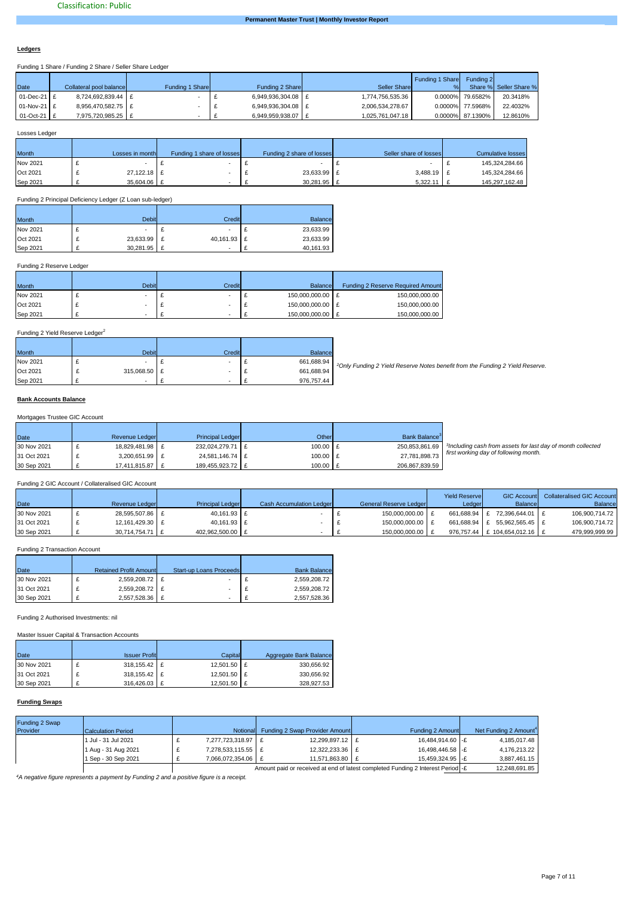#### **Ledgers**

Funding 1 Share / Funding 2 Share / Seller Share Ledger

| Date           | Collateral pool balance | Funding 1 Share | Funding 2 Share    | Seller Share     | Funding 1 Share | Funding 2        | Share % Seller Share % |
|----------------|-------------------------|-----------------|--------------------|------------------|-----------------|------------------|------------------------|
| $01$ -Dec-21 £ | 8,724,692,839.44 E      |                 | 6.949.936.304.08 E | 1,774,756,535.36 |                 | 0.0000% 79.6582% | 20.3418%               |
| $01-Nov-21$ £  | 8.956.470.582.75 E      |                 | 6.949.936.304.08 E | 2.006.534.278.67 |                 | 0.0000% 77.5968% | 22.4032%               |
| $01-Oct-21$ £  | 7,975,720,985.25   £    |                 | 6.949.959.938.07 E | 1,025,761,047.18 |                 | 0.0000% 87.1390% | 12.8610%               |

Losses Ledger

| Month    | Losses in month | Funding 1 share of losses | Funding 2 share of losses | Seller share of losses | <b>Cumulative losses</b> |
|----------|-----------------|---------------------------|---------------------------|------------------------|--------------------------|
| Nov 2021 |                 |                           |                           |                        | 145,324,284.66           |
| Oct 2021 | 27,122.18 £     |                           | 23,633.99 £               | 3,488.19 £             | 145,324,284.66           |
| Sep 2021 | 35.604.06 E     |                           | 30.281.95 £               | 5.322.11               | 145.297.162.48           |

Funding 2 Principal Deficiency Ledger (Z Loan sub-ledger)

| <b>Month</b> | <b>Debit</b> | Credit                   | Balance   |
|--------------|--------------|--------------------------|-----------|
| Nov 2021     |              | $\overline{\phantom{a}}$ | 23,633.99 |
| Oct 2021     | 23,633.99    | 40,161.93 £              | 23,633.99 |
| Sep 2021     | 30,281.95    |                          | 40,161.93 |

### Funding 2 Reserve Ledger

| <b>Month</b> | <b>Debit</b> | Credit | Balance          | <b>Funding 2 Reserve Required Amount</b> |
|--------------|--------------|--------|------------------|------------------------------------------|
| Nov 2021     |              |        | 150.000.000.00 E | 150.000.000.00                           |
| Oct 2021     |              |        | 150.000.000.00 E | 150.000.000.00                           |
| Sep 2021     |              |        | 150.000.000.00   | 150,000,000.00                           |

# Funding 2 Yield Reserve Ledger<sup>2</sup>

| <b>Month</b> |              | <b>Debit</b> | Credit | <b>Balance</b> |                                                                                          |
|--------------|--------------|--------------|--------|----------------|------------------------------------------------------------------------------------------|
| Nov 2021     |              |              |        | 661,688.94     | <sup>2</sup> Only Funding 2 Yield Reserve Notes benefit from the Funding 2 Yield Reserve |
| Oct 2021     | 315,068.50 £ |              |        | 661.688.94     |                                                                                          |
| Sep 2021     |              |              |        | 976.757.44     |                                                                                          |

#### **Bank Accounts Balance** against selected loan warranties from clause 9 of the Mortgage Sale Agreement. The Seller

# Mortgages Trustee GIC Account

| <b>Date</b> | Revenue Ledger  | <b>Principal Ledger</b> | Other      | Bank Balance <sup>3</sup> |                                                                         |
|-------------|-----------------|-------------------------|------------|---------------------------|-------------------------------------------------------------------------|
| 30 Nov 2021 | 18.829.481.98 E | 232.024.279.71 £        | $100.00$ E | 250,853,861.69            | <sup>3</sup> Including cash from assets for last day of month collected |
| 31 Oct 2021 | 3,200,651.99 £  | 24,581,146.74 £         | 100.00 E   | 27.781.898.73             | first working day of following month.                                   |
| 30 Sep 2021 | 17,411,815.87 £ | 189,455,923.72 £        | 100.00 £   | 206,867,839.59            |                                                                         |

# Funding 2 GIC Account / Collateralised GIC Account

| Date        | Revenue Ledger  | <b>Principal Ledger</b> | <b>Cash Accumulation Ledger</b> | General Reserve Ledger | <b>Yield Reservel</b><br>Ledger | Balancel                      | <b>GIC Account</b> Collateralised GIC Account<br>Balance |
|-------------|-----------------|-------------------------|---------------------------------|------------------------|---------------------------------|-------------------------------|----------------------------------------------------------|
| 30 Nov 2021 | 28.595.507.86 £ | 40,161.93 £             |                                 | 150,000,000.00         |                                 | 661.688.94 E 72.396.644.01 E  | 106,900,714.72                                           |
| 31 Oct 2021 | 12,161,429.30 £ | 40.161.93 £             |                                 | 150.000.000.00 E       |                                 | 661.688.94 £ 55.962.565.45    | 106,900,714.72                                           |
| 30 Sep 2021 | 30.714.754.71   | 402.962.500.00 E        |                                 | 150.000.000.00         |                                 | 976.757.44 E 104.654.012.16 B | 479.999.999.99                                           |

# Funding 2 Transaction Account

| Date        | <b>Retained Profit Amount</b> | <b>Start-up Loans Proceeds</b> | <b>Bank Balance</b> |
|-------------|-------------------------------|--------------------------------|---------------------|
| 30 Nov 2021 | 2,559,208.72 £                |                                | 2,559,208.72        |
| 31 Oct 2021 | 2,559,208.72 £                |                                | 2,559,208.72        |
| 30 Sep 2021 | 2,557,528.36 £                |                                | 2,557,528.36        |

Funding 2 Authorised Investments: nil

Master Issuer Capital & Transaction Accounts

| Date        | <b>Issuer Profit</b> | Capitall    | Aggregate Bank Balance |
|-------------|----------------------|-------------|------------------------|
| 30 Nov 2021 | $318.155.42$ E       | 12.501.50 E | 330.656.92             |
| 31 Oct 2021 | 318,155.42 £         | 12.501.50 E | 330.656.92             |
| 30 Sep 2021 | 316,426.03 £         | 12.501.50 E | 328.927.53             |

#### **Funding Swaps**

| Funding 2 Swap |                     |                      |                                         |                                                                                 |                                   |
|----------------|---------------------|----------------------|-----------------------------------------|---------------------------------------------------------------------------------|-----------------------------------|
| Provider       | Calculation Period  |                      | Notional Funding 2 Swap Provider Amount | Funding 2 Amount                                                                | Net Funding 2 Amount <sup>4</sup> |
|                | 1 Jul - 31 Jul 2021 | 7.277.723.318.97 £   | 12.299.897.12 E                         | 16.484.914.60 -£                                                                | 4,185,017.48                      |
|                | 1 Aug - 31 Aug 2021 | 7,278,533,115.55   £ | 12.322.233.36 E                         | 16.498.446.58 -£                                                                | 4.176.213.22                      |
|                | 1 Sep - 30 Sep 2021 | 7.066.072.354.06 E   | 11.571.863.80 E                         | 15.459.324.95 -£                                                                | 3.887.461.15                      |
|                |                     |                      |                                         | Amount paid or received at end of latest completed Funding 2 Interest Period -£ | 12.248.691.85                     |

*<sup>4</sup>A negative figure represents a payment by Funding 2 and a positive figure is a receipt.*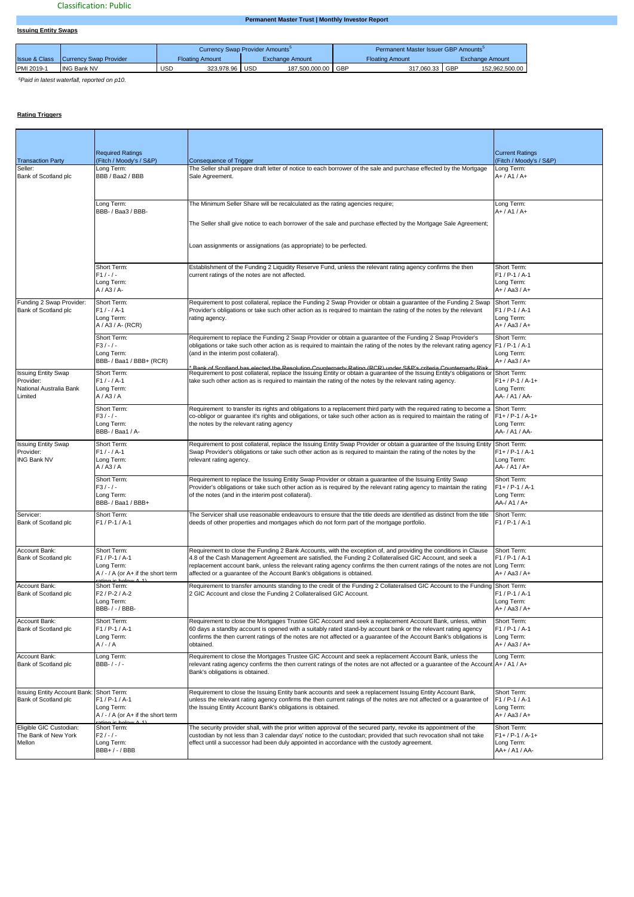# **Permanent Master Trust | Monthly Investor Report**

|            |                          |                        |            | Currency Swap Provider Amounts <sup>3</sup> |     |                 |            | Permanent Master Issuer GBP Amounts <sup>3</sup> |       |                 |
|------------|--------------------------|------------------------|------------|---------------------------------------------|-----|-----------------|------------|--------------------------------------------------|-------|-----------------|
|            | <b>Issue &amp; Class</b> | Currency Swap Provider |            | Floating Amount                             |     | Exchange Amount |            | <b>Floating Amount</b>                           |       | Exchange Amount |
| PMI 2019-1 |                          | <b>ING Bank NV</b>     | <b>USD</b> | 323.978.96                                  | USD | 187.500.000.00  | <b>GBP</b> | 317.060.33                                       | . GBP | 152.962.500.00  |

*5Paid in latest waterfall, reported on p10.*

# **Rating Triggers**

**Issuing Entity Swaps**

|                                                                               | <b>Required Ratings</b>                                                                      |                                                                                                                                                                                                                                                                                                                                                                                                                                        | <b>Current Ratings</b>                                            |
|-------------------------------------------------------------------------------|----------------------------------------------------------------------------------------------|----------------------------------------------------------------------------------------------------------------------------------------------------------------------------------------------------------------------------------------------------------------------------------------------------------------------------------------------------------------------------------------------------------------------------------------|-------------------------------------------------------------------|
| <b>Transaction Party</b>                                                      | Fitch / Moody's / S&P)                                                                       | <b>Consequence of Trigger</b>                                                                                                                                                                                                                                                                                                                                                                                                          | (Fitch / Moody's / S&P)                                           |
| Seller:<br>Bank of Scotland plc                                               | Long Term:<br>BBB / Baa2 / BBB                                                               | The Seller shall prepare draft letter of notice to each borrower of the sale and purchase effected by the Mortgage<br>Sale Agreement.                                                                                                                                                                                                                                                                                                  | Long Term:<br>$A+ / A1 / A+$                                      |
|                                                                               | Long Term:<br>BBB- / Baa3 / BBB-                                                             | The Minimum Seller Share will be recalculated as the rating agencies require;                                                                                                                                                                                                                                                                                                                                                          | Long Term:<br>$A+ / A1 / A+$                                      |
|                                                                               |                                                                                              | The Seller shall give notice to each borrower of the sale and purchase effected by the Mortgage Sale Agreement;                                                                                                                                                                                                                                                                                                                        |                                                                   |
|                                                                               |                                                                                              | Loan assignments or assignations (as appropriate) to be perfected.                                                                                                                                                                                                                                                                                                                                                                     |                                                                   |
|                                                                               | Short Term:<br>$F1/-/ -$<br>Long Term:<br>$A / A3 / A$ -                                     | Establishment of the Funding 2 Liquidity Reserve Fund, unless the relevant rating agency confirms the then<br>current ratings of the notes are not affected.                                                                                                                                                                                                                                                                           | Short Term:<br>F1 / P-1 / A-1<br>Long Term:<br>$A+ / Aa3 / A+$    |
| Funding 2 Swap Provider:<br>Bank of Scotland plc                              | Short Term:<br>$F1 / - / A - 1$<br>Long Term:<br>A / A3 / A- (RCR)                           | Requirement to post collateral, replace the Funding 2 Swap Provider or obtain a guarantee of the Funding 2 Swap<br>Provider's obligations or take such other action as is required to maintain the rating of the notes by the relevant<br>rating agency.                                                                                                                                                                               | Short Term:<br>$F1 / P-1 / A-1$<br>Long Term:<br>A+ / Aa3 / A+    |
|                                                                               | Short Term:<br>$F3/-/ -$<br>Long Term:<br>BBB- / Baa1 / BBB+ (RCR)                           | Requirement to replace the Funding 2 Swap Provider or obtain a guarantee of the Funding 2 Swap Provider's<br>obligations or take such other action as is required to maintain the rating of the notes by the relevant rating agency F1 / P-1 / A-1<br>(and in the interim post collateral).<br>unternarty Pating (DCD) unde                                                                                                            | Short Term:<br>Long Term:<br>$A+ / Aa3 / A+$                      |
| <b>Issuing Entity Swap</b><br>Provider:<br>National Australia Bank<br>Limited | Short Term:<br>$F1 / - / A - 1$<br>Long Term:<br>A / A3 / A                                  | Requirement to post collateral, replace the Issuing Entity or obtain a guarantee of the Issuing Entity's obligations or Short Term:<br>take such other action as is required to maintain the rating of the notes by the relevant rating agency.                                                                                                                                                                                        | $F1+ / P-1 / A-1+$<br>Long Term:<br>AA- / A1 / AA-                |
|                                                                               | Short Term:<br>$F3/-/ -$<br>Long Term:<br>BBB- / Baa1 / A-                                   | Requirement to transfer its rights and obligations to a replacement third party with the required rating to become a<br>co-obligor or guarantee it's rights and obligations, or take such other action as is required to maintain the rating of<br>the notes by the relevant rating agency                                                                                                                                             | Short Term:<br>$F1+ / P-1 / A-1+$<br>Long Term:<br>AA- / A1 / AA- |
| <b>Issuing Entity Swap</b><br>Provider:<br><b>ING Bank NV</b>                 | Short Term:<br>$F1 / - / A - 1$<br>Long Term:<br>A/AB/A                                      | Requirement to post collateral, replace the Issuing Entity Swap Provider or obtain a guarantee of the Issuing Entity Short Term:<br>Swap Provider's obligations or take such other action as is required to maintain the rating of the notes by the<br>relevant rating agency.                                                                                                                                                         | $F1+ / P-1 / A-1$<br>Long Term:<br>AA- / A1 / A+                  |
|                                                                               | Short Term:<br>$F3/-/ -$<br>Long Term:<br>BBB- / Baa1 / BBB+                                 | Requirement to replace the Issuing Entity Swap Provider or obtain a guarantee of the Issuing Entity Swap<br>Provider's obligations or take such other action as is required by the relevant rating agency to maintain the rating<br>of the notes (and in the interim post collateral).                                                                                                                                                 | Short Term:<br>$F1+ / P-1 / A-1$<br>Long Term:<br>AA-/ A1 / A+    |
| Servicer:<br>Bank of Scotland plc                                             | Short Term:<br>$F1 / P - 1 / A - 1$                                                          | The Servicer shall use reasonable endeavours to ensure that the title deeds are identified as distinct from the title<br>deeds of other properties and mortgages which do not form part of the mortgage portfolio.                                                                                                                                                                                                                     | Short Term:<br>$F1 / P-1 / A-1$                                   |
| Account Bank:<br>Bank of Scotland plc                                         | Short Term:<br>$F1 / P - 1 / A - 1$<br>Long Term:<br>$A / - / A$ (or $A +$ if the short term | Requirement to close the Funding 2 Bank Accounts, with the exception of, and providing the conditions in Clause<br>4.8 of the Cash Management Agreement are satisfied, the Funding 2 Collateralised GIC Account, and seek a<br>replacement account bank, unless the relevant rating agency confirms the then current ratings of the notes are not Long Term:<br>affected or a guarantee of the Account Bank's obligations is obtained. | Short Term:<br>$F1 / P-1 / A-1$<br>A+ / Aa3 / A+                  |
| Account Bank:<br>Bank of Scotland plc                                         | Short Term:<br>$F2 / P-2 / A-2$<br>Long Term:<br>BBB- / - / BBB-                             | Requirement to transfer amounts standing to the credit of the Funding 2 Collateralised GIC Account to the Funding Short Term:<br>2 GIC Account and close the Funding 2 Collateralised GIC Account.                                                                                                                                                                                                                                     | $F1 / P-1 / A-1$<br>Long Term:<br>A+ / Aa3 / A+                   |
| Account Bank:<br>Bank of Scotland plc                                         | Short Term:<br>$F1 / P - 1 / A - 1$<br>Long Term:<br>$A/-/A$                                 | Requirement to close the Mortgages Trustee GIC Account and seek a replacement Account Bank, unless, within<br>60 days a standby account is opened with a suitably rated stand-by account bank or the relevant rating agency<br>confirms the then current ratings of the notes are not affected or a guarantee of the Account Bank's obligations is<br>obtained.                                                                        | Short Term:<br>$F1 / P-1 / A-1$<br>Long Term:<br>A+ / Aa3 / A+    |
| Account Bank:<br>Bank of Scotland plc                                         | Long Term:<br>BBB- $/ - / -$                                                                 | Requirement to close the Mortgages Trustee GIC Account and seek a replacement Account Bank, unless the<br>relevant rating agency confirms the then current ratings of the notes are not affected or a guarantee of the Account A+ / A1 / A+<br>Bank's obligations is obtained.                                                                                                                                                         | Long Term:                                                        |
| Issuing Entity Account Bank:<br>Bank of Scotland plc                          | Short Term:<br>$F1 / P - 1 / A - 1$<br>Long Term:<br>$A / - / A$ (or $A +$ if the short term | Requirement to close the Issuing Entity bank accounts and seek a replacement Issuing Entity Account Bank,<br>unless the relevant rating agency confirms the then current ratings of the notes are not affected or a guarantee of<br>the Issuing Entity Account Bank's obligations is obtained.                                                                                                                                         | Short Term:<br>F1 / P-1 / A-1<br>Long Term:<br>A+ / Aa3 / A+      |
| Eligible GIC Custodian:<br>The Bank of New York<br>Mellon                     | Short Term:<br>$F2/-/ -$<br>Long Term:<br>BBB+ / - / BBB                                     | The security provider shall, with the prior written approval of the secured party, revoke its appointment of the<br>custodian by not less than 3 calendar days' notice to the custodian; provided that such revocation shall not take<br>effect until a successor had been duly appointed in accordance with the custody agreement.                                                                                                    | Short Term:<br>$F1+ / P-1 / A-1+$<br>Long Term:<br>AA+ / A1 / AA- |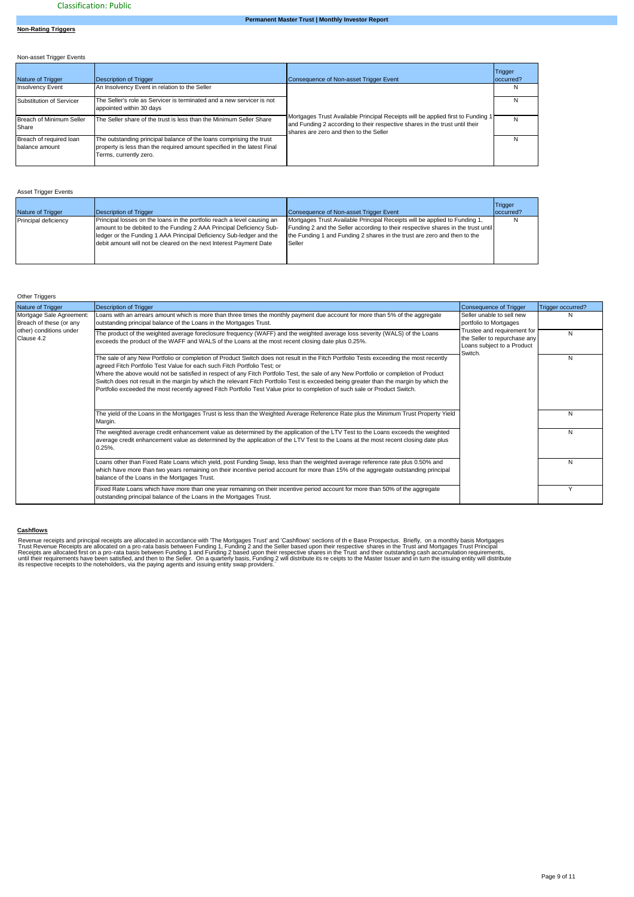# **Non-Rating Triggers**

| Non-asset Trigger Events                  |                                                                                                                                                                          |                                                                                                                                                                                                          |                       |
|-------------------------------------------|--------------------------------------------------------------------------------------------------------------------------------------------------------------------------|----------------------------------------------------------------------------------------------------------------------------------------------------------------------------------------------------------|-----------------------|
| Nature of Trigger                         | Description of Trigger                                                                                                                                                   | Consequence of Non-asset Trigger Event                                                                                                                                                                   | Trigger<br>loccurred? |
| <b>Insolvency Event</b>                   | An Insolvency Event in relation to the Seller                                                                                                                            |                                                                                                                                                                                                          | N                     |
| Substitution of Servicer                  | The Seller's role as Servicer is terminated and a new servicer is not<br>appointed within 30 days                                                                        |                                                                                                                                                                                                          | N                     |
| Breach of Minimum Seller<br>Share         | The Seller share of the trust is less than the Minimum Seller Share                                                                                                      | Mortgages Trust Available Principal Receipts will be applied first to Funding 1<br>and Funding 2 according to their respective shares in the trust until their<br>shares are zero and then to the Seller | N                     |
| Breach of required loan<br>balance amount | The outstanding principal balance of the loans comprising the trust<br>property is less than the required amount specified in the latest Final<br>Terms, currently zero. |                                                                                                                                                                                                          | N                     |

# Asset Trigger Events

| <b>Nature of Trigger</b> | Description of Trigger                                                                                                                                                                                                                                                                      | Consequence of Non-asset Trigger Event                                                                                                                                                                                                               | Trigger<br>loccurred? |
|--------------------------|---------------------------------------------------------------------------------------------------------------------------------------------------------------------------------------------------------------------------------------------------------------------------------------------|------------------------------------------------------------------------------------------------------------------------------------------------------------------------------------------------------------------------------------------------------|-----------------------|
| Principal deficiency     | Principal losses on the loans in the portfolio reach a level causing an<br>amount to be debited to the Funding 2 AAA Principal Deficiency Sub-<br>ledger or the Funding 1 AAA Principal Deficiency Sub-ledger and the<br>debit amount will not be cleared on the next Interest Payment Date | Mortgages Trust Available Principal Receipts will be applied to Funding 1,<br>Funding 2 and the Seller according to their respective shares in the trust until<br>the Funding 1 and Funding 2 shares in the trust are zero and then to the<br>Seller |                       |

### Other Triggers

| Nature of Trigger                                                                            | <b>Description of Trigger</b>                                                                                                                                                                                                                                                                                                                                                                                                                                                                                                                                                                                                       | <b>Consequence of Trigger</b>                                                                        | Trigger occurred? |
|----------------------------------------------------------------------------------------------|-------------------------------------------------------------------------------------------------------------------------------------------------------------------------------------------------------------------------------------------------------------------------------------------------------------------------------------------------------------------------------------------------------------------------------------------------------------------------------------------------------------------------------------------------------------------------------------------------------------------------------------|------------------------------------------------------------------------------------------------------|-------------------|
| Mortgage Sale Agreement:<br>Breach of these (or any<br>other) conditions under<br>Clause 4.2 | Loans with an arrears amount which is more than three times the monthly payment due account for more than 5% of the aggregate<br>outstanding principal balance of the Loans in the Mortgages Trust.                                                                                                                                                                                                                                                                                                                                                                                                                                 | Seller unable to sell new<br>portfolio to Mortgages                                                  |                   |
|                                                                                              | The product of the weighted average foreclosure frequency (WAFF) and the weighted average loss severity (WALS) of the Loans<br>exceeds the product of the WAFF and WALS of the Loans at the most recent closing date plus 0.25%.                                                                                                                                                                                                                                                                                                                                                                                                    | Trustee and requirement for<br>the Seller to repurchase any<br>Loans subject to a Product<br>Switch. | N                 |
|                                                                                              | The sale of any New Portfolio or completion of Product Switch does not result in the Fitch Portfolio Tests exceeding the most recently<br>agreed Fitch Portfolio Test Value for each such Fitch Portfolio Test; or<br>Where the above would not be satisfied in respect of any Fitch Portfolio Test, the sale of any New Portfolio or completion of Product<br>Switch does not result in the margin by which the relevant Fitch Portfolio Test is exceeded being greater than the margin by which the<br>Portfolio exceeded the most recently agreed Fitch Portfolio Test Value prior to completion of such sale or Product Switch. |                                                                                                      | N                 |
|                                                                                              | The yield of the Loans in the Mortgages Trust is less than the Weighted Average Reference Rate plus the Minimum Trust Property Yield<br>Margin.                                                                                                                                                                                                                                                                                                                                                                                                                                                                                     |                                                                                                      | Ν                 |
|                                                                                              | The weighted average credit enhancement value as determined by the application of the LTV Test to the Loans exceeds the weighted<br>average credit enhancement value as determined by the application of the LTV Test to the Loans at the most recent closing date plus<br>$0.25%$ .                                                                                                                                                                                                                                                                                                                                                |                                                                                                      | N                 |
|                                                                                              | Loans other than Fixed Rate Loans which yield, post Funding Swap, less than the weighted average reference rate plus 0.50% and<br>which have more than two years remaining on their incentive period account for more than 15% of the aggregate outstanding principal<br>balance of the Loans in the Mortgages Trust.                                                                                                                                                                                                                                                                                                               |                                                                                                      | N                 |
|                                                                                              | Fixed Rate Loans which have more than one year remaining on their incentive period account for more than 50% of the aggregate<br>outstanding principal balance of the Loans in the Mortgages Trust.                                                                                                                                                                                                                                                                                                                                                                                                                                 |                                                                                                      |                   |

### **Cashflows**

Revenue receipts and principal receipts are allocated in accordance with "The Mortgages Trust' and 'Cashflows' sections of the Base Prospectus. Briefly, on a monthly basis Mortgages<br>Trust Revenue Receipts are allocated on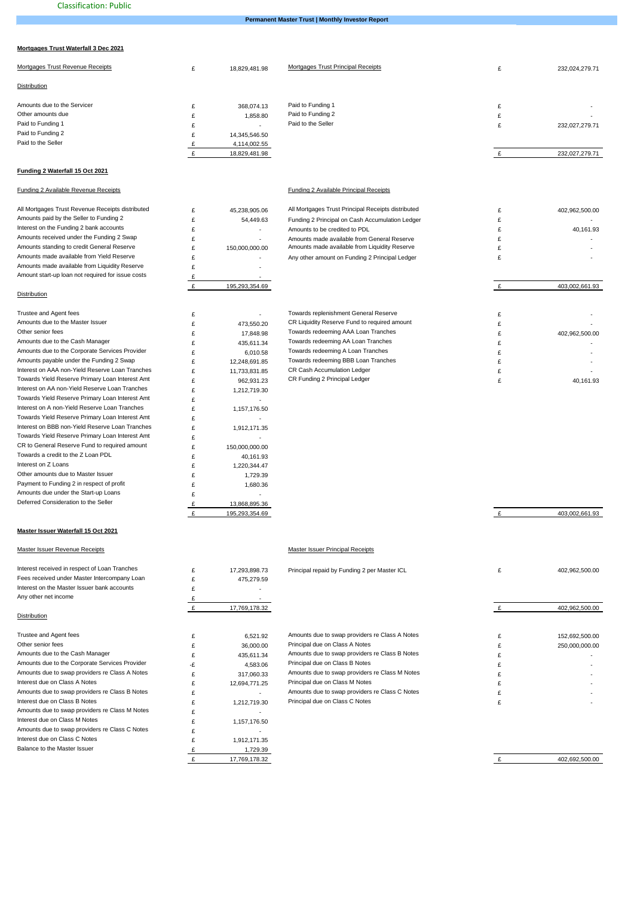**Permanent Master Trust | Monthly Investor Report**

## **Mortgages Trust Waterfall 3 Dec 2021**

| Mortgages Trust Revenue Receipts | $\sim$ | 18,829,481.98            | Mortgages Trust Principal Receipts | $\sim$ | 232,024,279.71 |
|----------------------------------|--------|--------------------------|------------------------------------|--------|----------------|
| Distribution                     |        |                          |                                    |        |                |
| Amounts due to the Servicer      |        | 368.074.13               | Paid to Funding 1                  |        |                |
| Other amounts due                |        | 1.858.80                 | Paid to Funding 2                  | ∼      | $\sim$         |
| Paid to Funding 1                |        | $\overline{\phantom{a}}$ | Paid to the Seller                 |        | 232,027,279.71 |
| Paid to Funding 2                |        | 14,345,546.50            |                                    |        |                |
| Paid to the Seller               |        | 4,114,002.55             |                                    |        |                |
|                                  |        | 18,829,481.98            |                                    |        | 232,027,279.71 |
|                                  |        |                          |                                    |        |                |

### **Funding 2 Waterfall 15 Oct 2021**

#### Funding 2 Available Revenue Receipts Funding 2 Available Principal Receipts

| All Mortgages Trust Revenue Receipts distributed  | £         | 45,238,905.06  | All Mortgages Trust Principal Receipts distributed | £ | 402,962,500.00 |
|---------------------------------------------------|-----------|----------------|----------------------------------------------------|---|----------------|
| Amounts paid by the Seller to Funding 2           | £         | 54,449.63      | Funding 2 Principal on Cash Accumulation Ledger    | £ |                |
| Interest on the Funding 2 bank accounts           | £         | ä,             | Amounts to be credited to PDL                      | £ | 40,161.93      |
| Amounts received under the Funding 2 Swap         | £         | L,             | Amounts made available from General Reserve        | £ |                |
| Amounts standing to credit General Reserve        | £         | 150,000,000.00 | Amounts made available from Liquidity Reserve      | £ |                |
| Amounts made available from Yield Reserve         | £         |                | Any other amount on Funding 2 Principal Ledger     | £ |                |
| Amounts made available from Liquidity Reserve     | £         | ä,             |                                                    |   |                |
| Amount start-up loan not required for issue costs | £         |                |                                                    |   |                |
|                                                   | £         | 195,293,354.69 |                                                    | £ | 403,002,661.93 |
| Distribution                                      |           |                |                                                    |   |                |
| Trustee and Agent fees                            | £         |                | Towards replenishment General Reserve              | £ |                |
| Amounts due to the Master Issuer                  | £         | 473,550.20     | CR Liquidity Reserve Fund to required amount       | £ |                |
| Other senior fees                                 | £         | 17,848.98      | Towards redeeming AAA Loan Tranches                | £ | 402,962,500.00 |
| Amounts due to the Cash Manager                   | £         | 435,611.34     | Towards redeeming AA Loan Tranches                 | £ |                |
| Amounts due to the Corporate Services Provider    | £         | 6,010.58       | Towards redeeming A Loan Tranches                  | £ |                |
| Amounts payable under the Funding 2 Swap          | £         | 12,248,691.85  | Towards redeeming BBB Loan Tranches                | £ |                |
| Interest on AAA non-Yield Reserve Loan Tranches   | £         | 11,733,831.85  | CR Cash Accumulation Ledger                        | £ |                |
| Towards Yield Reserve Primary Loan Interest Amt   | £         | 962,931.23     | CR Funding 2 Principal Ledger                      | £ | 40,161.93      |
| Interest on AA non-Yield Reserve Loan Tranches    | £         | 1,212,719.30   |                                                    |   |                |
| Towards Yield Reserve Primary Loan Interest Amt   | £         | ä,             |                                                    |   |                |
| Interest on A non-Yield Reserve Loan Tranches     | £         | 1,157,176.50   |                                                    |   |                |
| Towards Yield Reserve Primary Loan Interest Amt   | £         |                |                                                    |   |                |
| Interest on BBB non-Yield Reserve Loan Tranches   | £         | 1,912,171.35   |                                                    |   |                |
| Towards Yield Reserve Primary Loan Interest Amt   | £         |                |                                                    |   |                |
| CR to General Reserve Fund to required amount     | £         | 150,000,000.00 |                                                    |   |                |
| Towards a credit to the Z Loan PDL                | £         | 40,161.93      |                                                    |   |                |
| Interest on Z Loans                               | £         | 1,220,344.47   |                                                    |   |                |
| Other amounts due to Master Issuer                | £         | 1,729.39       |                                                    |   |                |
| Payment to Funding 2 in respect of profit         | £         | 1,680.36       |                                                    |   |                |
| Amounts due under the Start-up Loans              | £         |                |                                                    |   |                |
| Deferred Consideration to the Seller              | £         | 13,868,895.36  |                                                    |   |                |
|                                                   | £         | 195,293,354.69 |                                                    | £ | 403,002,661.93 |
| Master Issuer Waterfall 15 Oct 2021               |           |                |                                                    |   |                |
| Master Issuer Revenue Receipts                    |           |                | Master Issuer Principal Receipts                   |   |                |
|                                                   |           |                |                                                    |   |                |
| Interest received in respect of Loan Tranches     | £         | 17,293,898.73  | Principal repaid by Funding 2 per Master ICL       | £ | 402,962,500.00 |
| Fees received under Master Intercompany Loan      | £         | 475,279.59     |                                                    |   |                |
| Interest on the Master Issuer bank accounts       | £         |                |                                                    |   |                |
| Any other net income                              | £         |                |                                                    |   |                |
|                                                   | $\pounds$ | 17,769,178.32  |                                                    | £ | 402,962,500.00 |
| <b>Distribution</b>                               |           |                |                                                    |   |                |
| Trustee and Agent fees                            | £         | 6,521.92       | Amounts due to swap providers re Class A Notes     | £ | 152,692,500.00 |
| Other senior fees                                 | £         | 36,000.00      | Principal due on Class A Notes                     | £ | 250,000,000.00 |
| Amounts due to the Cash Manager                   | £         | 435,611.34     | Amounts due to swap providers re Class B Notes     | £ |                |
| Amounts due to the Corporate Services Provider    | -£        | 4,583.06       | Principal due on Class B Notes                     | £ |                |
| Amounts due to swap providers re Class A Notes    | £         | 317,060.33     | Amounts due to swap providers re Class M Notes     | £ |                |
| Interest due on Class A Notes                     | £         | 12,694,771.25  | Principal due on Class M Notes                     | £ |                |

E<br>
1,212,719.30 Principal due on Class C Notes

£ 1,157,176.50

£ 1,912,171.35

£ 17,769,178.32 £ 1,729.39

£ -

 $\mathbf{f}$  -  $\mathbf{f}$ 

 $\mathbf f$ 

£ 1,212,719.30

Amounts due to swap providers re Class B Notes<br>
Interest due on Class B Notes<br>
Amounts due to swap providers re Class C Notes<br>
Amounts due to swap providers re Class C Notes<br>
Amounts due to swap providers re Class C Notes Amounts due to swap providers re Class M Notes

Interest due on Class M Notes

Amounts due to swap providers re Class C Notes Interest due on Class C Notes

Balance to the Master Issuer

£ 402,692,500.00

 $\mathbf{f}$   $\mathbf{f}$ 

 $E$  -  $\sim$  -  $\sim$  -